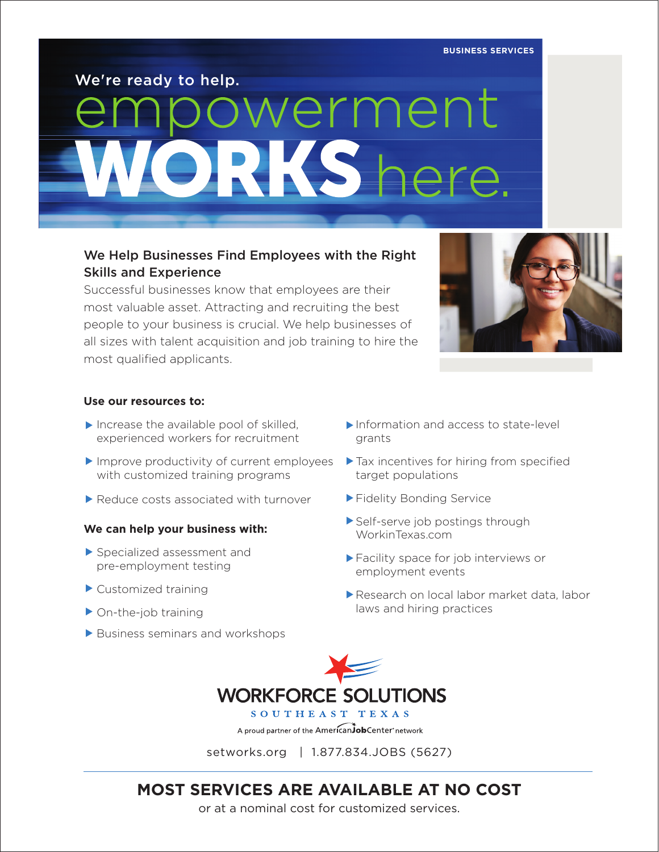**BUSINESS SERVICES**

We're ready to help.

# owerment **RKS** he

#### We Help Businesses Find Employees with the Right Skills and Experience

Successful businesses know that employees are their most valuable asset. Attracting and recruiting the best people to your business is crucial. We help businesses of all sizes with talent acquisition and job training to hire the most qualified applicants.



#### **Use our resources to:**

- ▶ Increase the available pool of skilled, experienced workers for recruitment
- ▶ Improve productivity of current employees ▶ Tax incentives for hiring from specified with customized training programs
- ▶ Reduce costs associated with turnover

#### **We can help your business with:**

- ▶ Specialized assessment and pre-employment testing
- ▶ Customized training
- ▶ On-the-job training
- ▶ Business seminars and workshops
- Information and access to state-level grants
- target populations
- ▶ Fidelity Bonding Service
- Self-serve job postings through WorkinTexas.com
- Facility space for job interviews or ▲ employment events
- Research on local labor market data, labor ▲laws and hiring practices



setworks.org | 1.877.834.JOBS (5627)

## **MOST SERVICES ARE AVAILABLE AT NO COST**

or at a nominal cost for customized services.